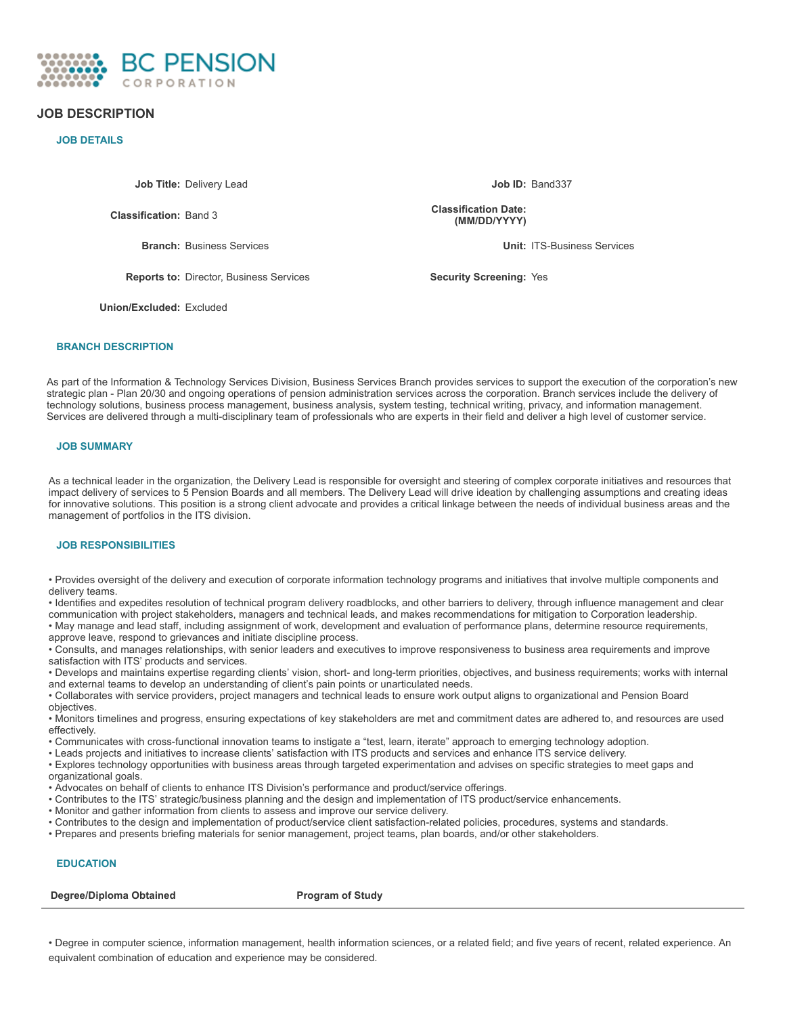

# **JOB DESCRIPTION**

## **JOB DETAILS**

**Job Title:** Delivery Lead **Job ID:** Band337

**Classification:** Band 3

**Reports to:** Director, Business Services **Security** Screening: Yes

**Classification Date: (MM/DD/YYYY)**

**Branch:** Business Services **Unit:** ITS-Business Services

**Union/Excluded:** Excluded

# **BRANCH DESCRIPTION**

As part of the Information & Technology Services Division, Business Services Branch provides services to support the execution of the corporation's new strategic plan - Plan 20/30 and ongoing operations of pension administration services across the corporation. Branch services include the delivery of technology solutions, business process management, business analysis, system testing, technical writing, privacy, and information management. Services are delivered through a multi-disciplinary team of professionals who are experts in their field and deliver a high level of customer service.

## **JOB SUMMARY**

As a technical leader in the organization, the Delivery Lead is responsible for oversight and steering of complex corporate initiatives and resources that impact delivery of services to 5 Pension Boards and all members. The Delivery Lead will drive ideation by challenging assumptions and creating ideas for innovative solutions. This position is a strong client advocate and provides a critical linkage between the needs of individual business areas and the management of portfolios in the ITS division.

## **JOB RESPONSIBILITIES**

• Provides oversight of the delivery and execution of corporate information technology programs and initiatives that involve multiple components and delivery teams.

• Identifies and expedites resolution of technical program delivery roadblocks, and other barriers to delivery, through influence management and clear communication with project stakeholders, managers and technical leads, and makes recommendations for mitigation to Corporation leadership.

• May manage and lead staff, including assignment of work, development and evaluation of performance plans, determine resource requirements, approve leave, respond to grievances and initiate discipline process.

• Consults, and manages relationships, with senior leaders and executives to improve responsiveness to business area requirements and improve satisfaction with ITS' products and services.

• Develops and maintains expertise regarding clients' vision, short- and long-term priorities, objectives, and business requirements; works with internal and external teams to develop an understanding of client's pain points or unarticulated needs.

• Collaborates with service providers, project managers and technical leads to ensure work output aligns to organizational and Pension Board objectives.

• Monitors timelines and progress, ensuring expectations of key stakeholders are met and commitment dates are adhered to, and resources are used effectively.

• Communicates with cross-functional innovation teams to instigate a "test, learn, iterate" approach to emerging technology adoption.

• Leads projects and initiatives to increase clients' satisfaction with ITS products and services and enhance ITS service delivery.

• Explores technology opportunities with business areas through targeted experimentation and advises on specific strategies to meet gaps and organizational goals.

• Advocates on behalf of clients to enhance ITS Division's performance and product/service offerings.

- Contributes to the ITS' strategic/business planning and the design and implementation of ITS product/service enhancements.
- Monitor and gather information from clients to assess and improve our service delivery.
- Contributes to the design and implementation of product/service client satisfaction-related policies, procedures, systems and standards.
- Prepares and presents briefing materials for senior management, project teams, plan boards, and/or other stakeholders.

## **EDUCATION**

**Degree/Diploma Obtained Program** of Study

• Degree in computer science, information management, health information sciences, or a related field; and five years of recent, related experience. An equivalent combination of education and experience may be considered.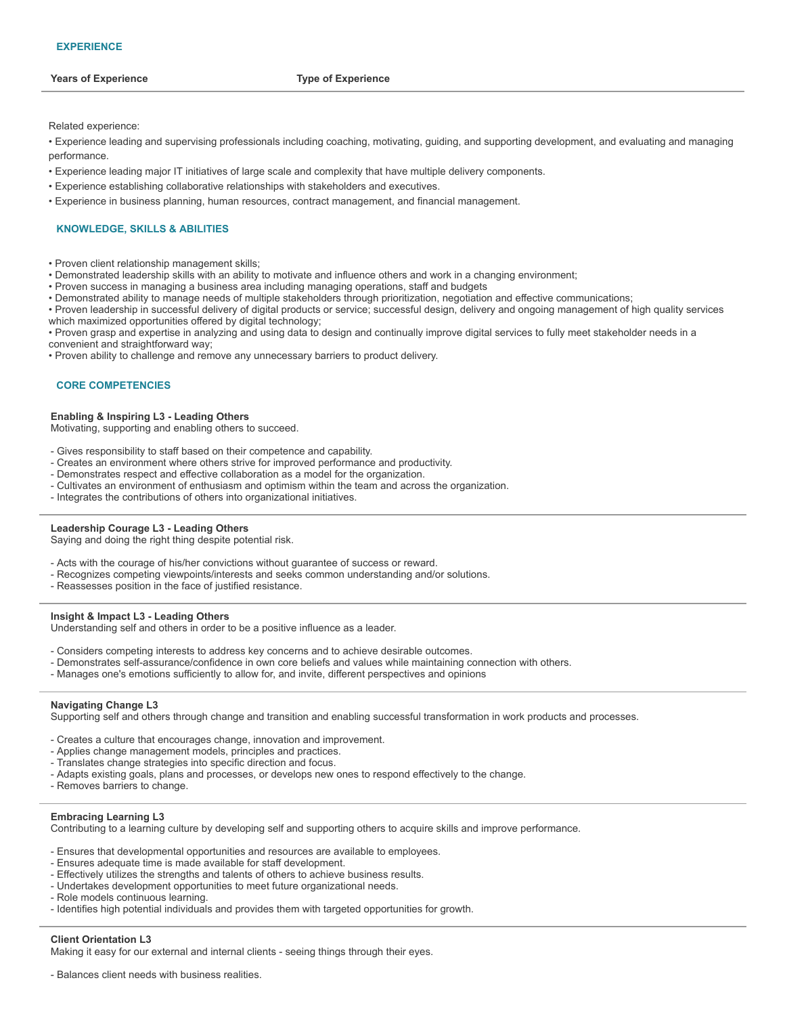Related experience:

• Experience leading and supervising professionals including coaching, motivating, guiding, and supporting development, and evaluating and managing performance.

- Experience leading major IT initiatives of large scale and complexity that have multiple delivery components.
- Experience establishing collaborative relationships with stakeholders and executives.
- Experience in business planning, human resources, contract management, and financial management.

### **KNOWLEDGE, SKILLS & ABILITIES**

- Proven client relationship management skills;
- Demonstrated leadership skills with an ability to motivate and influence others and work in a changing environment;
- Proven success in managing a business area including managing operations, staff and budgets
- Demonstrated ability to manage needs of multiple stakeholders through prioritization, negotiation and effective communications;
- Proven leadership in successful delivery of digital products or service; successful design, delivery and ongoing management of high quality services which maximized opportunities offered by digital technology;
- Proven grasp and expertise in analyzing and using data to design and continually improve digital services to fully meet stakeholder needs in a convenient and straightforward way;
- Proven ability to challenge and remove any unnecessary barriers to product delivery.

#### **CORE COMPETENCIES**

#### **Enabling & Inspiring L3 - Leading Others**

Motivating, supporting and enabling others to succeed.

- Gives responsibility to staff based on their competence and capability.
- Creates an environment where others strive for improved performance and productivity.
- Demonstrates respect and effective collaboration as a model for the organization.
- Cultivates an environment of enthusiasm and optimism within the team and across the organization.
- Integrates the contributions of others into organizational initiatives.

#### **Leadership Courage L3 - Leading Others**

Saying and doing the right thing despite potential risk.

- Acts with the courage of his/her convictions without guarantee of success or reward.
- Recognizes competing viewpoints/interests and seeks common understanding and/or solutions.
- Reassesses position in the face of justified resistance.

#### **Insight & Impact L3 - Leading Others**

Understanding self and others in order to be a positive influence as a leader.

- Considers competing interests to address key concerns and to achieve desirable outcomes.
- Demonstrates self-assurance/confidence in own core beliefs and values while maintaining connection with others.
- Manages one's emotions sufficiently to allow for, and invite, different perspectives and opinions

#### **Navigating Change L3**

Supporting self and others through change and transition and enabling successful transformation in work products and processes.

- Creates a culture that encourages change, innovation and improvement.
- Applies change management models, principles and practices.
- Translates change strategies into specific direction and focus.
- Adapts existing goals, plans and processes, or develops new ones to respond effectively to the change.
- Removes barriers to change.

#### **Embracing Learning L3**

Contributing to a learning culture by developing self and supporting others to acquire skills and improve performance.

- Ensures that developmental opportunities and resources are available to employees.
- Ensures adequate time is made available for staff development.
- Effectively utilizes the strengths and talents of others to achieve business results.
- Undertakes development opportunities to meet future organizational needs.
- Role models continuous learning.
- Identifies high potential individuals and provides them with targeted opportunities for growth.

#### **Client Orientation L3**

Making it easy for our external and internal clients - seeing things through their eyes.